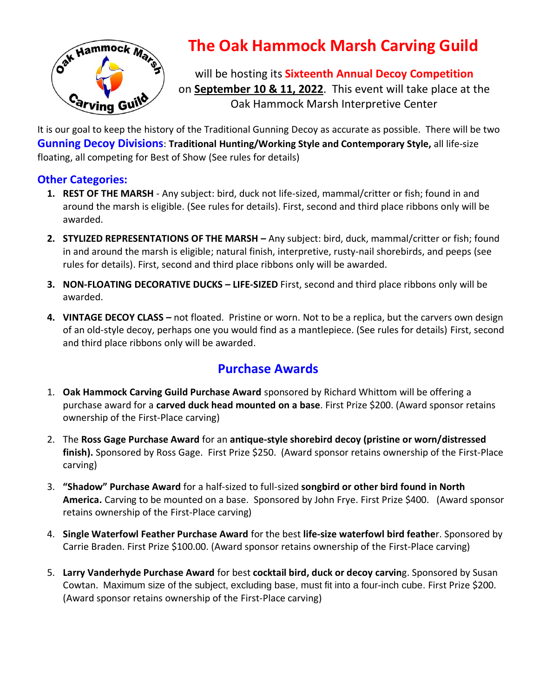

# **The Oak Hammock Marsh Carving Guild**

will be hosting its **Sixteenth Annual Decoy Competition** on **September 10 & 11, 2022**. This event will take place at the Oak Hammock Marsh Interpretive Center

It is our goal to keep the history of the Traditional Gunning Decoy as accurate as possible. There will be two **Gunning Decoy Divisions**: **Traditional Hunting/Working Style and Contemporary Style,** all life-size floating, all competing for Best of Show (See rules for details)

### **Other Categories:**

- **1. REST OF THE MARSH** Any subject: bird, duck not life-sized, mammal/critter or fish; found in and around the marsh is eligible. (See rules for details). First, second and third place ribbons only will be awarded.
- **2. STYLIZED REPRESENTATIONS OF THE MARSH –** Any subject: bird, duck, mammal/critter or fish; found in and around the marsh is eligible; natural finish, interpretive, rusty-nail shorebirds, and peeps (see rules for details). First, second and third place ribbons only will be awarded.
- **3. NON-FLOATING DECORATIVE DUCKS – LIFE-SIZED** First, second and third place ribbons only will be awarded.
- **4. VINTAGE DECOY CLASS –** not floated. Pristine or worn. Not to be a replica, but the carvers own design of an old-style decoy, perhaps one you would find as a mantlepiece. (See rules for details) First, second and third place ribbons only will be awarded.

# **Purchase Awards**

- 1. **Oak Hammock Carving Guild Purchase Award** sponsored by Richard Whittom will be offering a purchase award for a **carved duck head mounted on a base**. First Prize \$200. (Award sponsor retains ownership of the First-Place carving)
- 2. The **Ross Gage Purchase Award** for an **antique-style shorebird decoy (pristine or worn/distressed finish).** Sponsored by Ross Gage. First Prize \$250. (Award sponsor retains ownership of the First-Place carving)
- 3. **"Shadow" Purchase Award** for a half-sized to full-sized **songbird or other bird found in North America.** Carving to be mounted on a base. Sponsored by John Frye. First Prize \$400. (Award sponsor retains ownership of the First-Place carving)
- 4. **Single Waterfowl Feather Purchase Award** for the best **life-size waterfowl bird feathe**r. Sponsored by Carrie Braden. First Prize \$100.00. (Award sponsor retains ownership of the First-Place carving)
- 5. **Larry Vanderhyde Purchase Award** for best **cocktail bird, duck or decoy carvin**g. Sponsored by Susan Cowtan. Maximum size of the subject, excluding base, must fit into a four-inch cube. First Prize \$200. (Award sponsor retains ownership of the First-Place carving)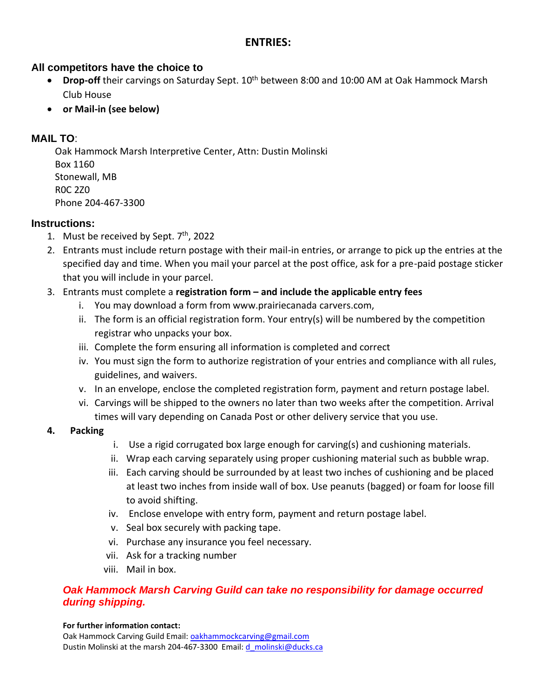#### **ENTRIES:**

#### **All competitors have the choice to**

- Drop-off their carvings on Saturday Sept. 10<sup>th</sup> between 8:00 and 10:00 AM at Oak Hammock Marsh Club House
- **or Mail-in (see below)**

#### **MAIL TO**:

Oak Hammock Marsh Interpretive Center, Attn: Dustin Molinski Box 1160 Stonewall, MB R0C 2Z0 Phone 204-467-3300

#### **Instructions:**

- 1. Must be received by Sept.  $7<sup>th</sup>$ , 2022
- 2. Entrants must include return postage with their mail-in entries, or arrange to pick up the entries at the specified day and time. When you mail your parcel at the post office, ask for a pre-paid postage sticker that you will include in your parcel.
- 3. Entrants must complete a **registration form – and include the applicable entry fees**
	- i. You may download a form from www.prairiecanada carvers.com,
	- ii. The form is an official registration form. Your entry(s) will be numbered by the competition registrar who unpacks your box.
	- iii. Complete the form ensuring all information is completed and correct
	- iv. You must sign the form to authorize registration of your entries and compliance with all rules, guidelines, and waivers.
	- v. In an envelope, enclose the completed registration form, payment and return postage label.
	- vi. Carvings will be shipped to the owners no later than two weeks after the competition. Arrival times will vary depending on Canada Post or other delivery service that you use.

#### **4. Packing**

- i. Use a rigid corrugated box large enough for carving(s) and cushioning materials.
- ii. Wrap each carving separately using proper cushioning material such as bubble wrap.
- iii. Each carving should be surrounded by at least two inches of cushioning and be placed at least two inches from inside wall of box. Use peanuts (bagged) or foam for loose fill to avoid shifting.
- iv. Enclose envelope with entry form, payment and return postage label.
- v. Seal box securely with packing tape.
- vi. Purchase any insurance you feel necessary.
- vii. Ask for a tracking number
- viii. Mail in box.

#### **Oak Hammock Marsh Carving Guild can take no responsibility for damage occurred** *during shipping.*

#### **For further information contact:**

Oak Hammock Carving Guild Email: [oakhammockcarving@gmail.com](mailto:oakhammockcarving@gmail.com) Dustin Molinski at the marsh 204-467-3300 Email: [d\\_molinski@ducks.ca](mailto:d_molinski@ducks.ca)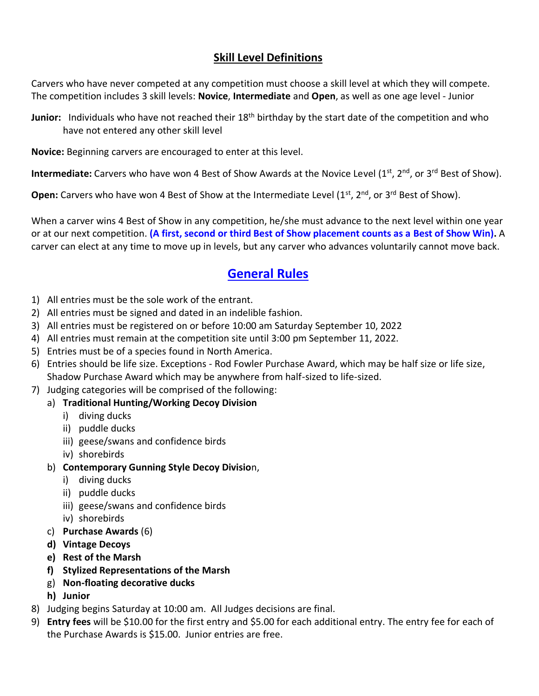# **Skill Level Definitions**

Carvers who have never competed at any competition must choose a skill level at which they will compete. The competition includes 3 skill levels: **Novice**, **Intermediate** and **Open**, as well as one age level - Junior

**Junior:** Individuals who have not reached their 18<sup>th</sup> birthday by the start date of the competition and who have not entered any other skill level

**Novice:** Beginning carvers are encouraged to enter at this level.

**Intermediate:** Carvers who have won 4 Best of Show Awards at the Novice Level (1<sup>st</sup>, 2<sup>nd</sup>, or 3<sup>rd</sup> Best of Show).

**Open:** Carvers who have won 4 Best of Show at the Intermediate Level (1<sup>st</sup>, 2<sup>nd</sup>, or 3<sup>rd</sup> Best of Show).

When a carver wins 4 Best of Show in any competition, he/she must advance to the next level within one year or at our next competition. **(A first, second or third Best of Show placement counts as a Best of Show Win).** A carver can elect at any time to move up in levels, but any carver who advances voluntarily cannot move back.

# **General Rules**

- 1) All entries must be the sole work of the entrant.
- 2) All entries must be signed and dated in an indelible fashion.
- 3) All entries must be registered on or before 10:00 am Saturday September 10, 2022
- 4) All entries must remain at the competition site until 3:00 pm September 11, 2022.
- 5) Entries must be of a species found in North America.
- 6) Entries should be life size. Exceptions Rod Fowler Purchase Award, which may be half size or life size, Shadow Purchase Award which may be anywhere from half-sized to life-sized.
- 7) Judging categories will be comprised of the following:

#### a) **Traditional Hunting/Working Decoy Division**

- i) diving ducks
- ii) puddle ducks
- iii) geese/swans and confidence birds
- iv) shorebirds
- b) **Contemporary Gunning Style Decoy Divisio**n,
	- i) diving ducks
	- ii) puddle ducks
	- iii) geese/swans and confidence birds
	- iv) shorebirds
- c) **Purchase Awards** (6)
- **d) Vintage Decoys**
- **e) Rest of the Marsh**
- **f) Stylized Representations of the Marsh**
- g) **Non-floating decorative ducks**
- **h) Junior**
- 8) Judging begins Saturday at 10:00 am. All Judges decisions are final.
- 9) **Entry fees** will be \$10.00 for the first entry and \$5.00 for each additional entry. The entry fee for each of the Purchase Awards is \$15.00. Junior entries are free.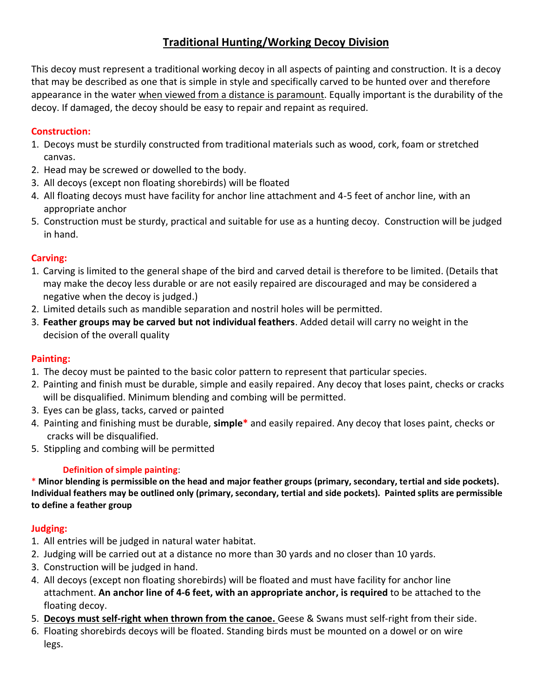# **Traditional Hunting/Working Decoy Division**

This decoy must represent a traditional working decoy in all aspects of painting and construction. It is a decoy that may be described as one that is simple in style and specifically carved to be hunted over and therefore appearance in the water when viewed from a distance is paramount. Equally important is the durability of the decoy. If damaged, the decoy should be easy to repair and repaint as required.

#### **Construction:**

- 1. Decoys must be sturdily constructed from traditional materials such as wood, cork, foam or stretched canvas.
- 2. Head may be screwed or dowelled to the body.
- 3. All decoys (except non floating shorebirds) will be floated
- 4. All floating decoys must have facility for anchor line attachment and 4-5 feet of anchor line, with an appropriate anchor
- 5. Construction must be sturdy, practical and suitable for use as a hunting decoy. Construction will be judged in hand.

#### **Carving:**

- 1. Carving is limited to the general shape of the bird and carved detail is therefore to be limited. (Details that may make the decoy less durable or are not easily repaired are discouraged and may be considered a negative when the decoy is judged.)
- 2. Limited details such as mandible separation and nostril holes will be permitted.
- 3. **Feather groups may be carved but not individual feathers**. Added detail will carry no weight in the decision of the overall quality

#### **Painting:**

- 1. The decoy must be painted to the basic color pattern to represent that particular species.
- 2. Painting and finish must be durable, simple and easily repaired. Any decoy that loses paint, checks or cracks will be disqualified. Minimum blending and combing will be permitted.
- 3. Eyes can be glass, tacks, carved or painted
- 4. Painting and finishing must be durable, **simple\*** and easily repaired. Any decoy that loses paint, checks or cracks will be disqualified.
- 5. Stippling and combing will be permitted

#### **Definition of simple painting**:

\* **Minor blending is permissible on the head and major feather groups (primary, secondary, tertial and side pockets). Individual feathers may be outlined only (primary, secondary, tertial and side pockets). Painted splits are permissible to define a feather group**

#### **Judging:**

- 1. All entries will be judged in natural water habitat.
- 2. Judging will be carried out at a distance no more than 30 yards and no closer than 10 yards.
- 3. Construction will be judged in hand.
- 4. All decoys (except non floating shorebirds) will be floated and must have facility for anchor line attachment. **An anchor line of 4-6 feet, with an appropriate anchor, is required** to be attached to the floating decoy.
- 5. **Decoys must self-right when thrown from the canoe.** Geese & Swans must self-right from their side.
- 6. Floating shorebirds decoys will be floated. Standing birds must be mounted on a dowel or on wire legs.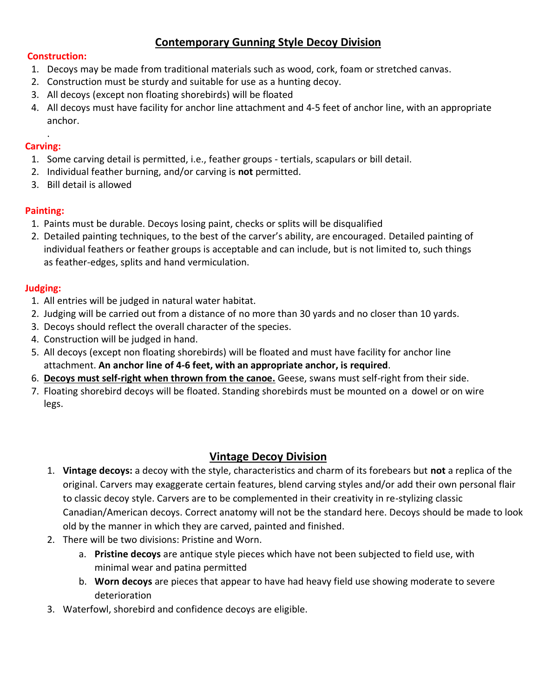# **Contemporary Gunning Style Decoy Division**

#### **Construction:**

- 1. Decoys may be made from traditional materials such as wood, cork, foam or stretched canvas.
- 2. Construction must be sturdy and suitable for use as a hunting decoy.
- 3. All decoys (except non floating shorebirds) will be floated
- 4. All decoys must have facility for anchor line attachment and 4-5 feet of anchor line, with an appropriate anchor.

#### . **Carving:**

- 1. Some carving detail is permitted, i.e., feather groups tertials, scapulars or bill detail.
- 2. Individual feather burning, and/or carving is **not** permitted.
- 3. Bill detail is allowed

#### **Painting:**

- 1. Paints must be durable. Decoys losing paint, checks or splits will be disqualified
- 2. Detailed painting techniques, to the best of the carver's ability, are encouraged. Detailed painting of individual feathers or feather groups is acceptable and can include, but is not limited to, such things as feather-edges, splits and hand vermiculation.

#### **Judging:**

- 1. All entries will be judged in natural water habitat.
- 2. Judging will be carried out from a distance of no more than 30 yards and no closer than 10 yards.
- 3. Decoys should reflect the overall character of the species.
- 4. Construction will be judged in hand.
- 5. All decoys (except non floating shorebirds) will be floated and must have facility for anchor line attachment. **An anchor line of 4-6 feet, with an appropriate anchor, is required**.
- 6. **Decoys must self-right when thrown from the canoe.** Geese, swans must self-right from their side.
- 7. Floating shorebird decoys will be floated. Standing shorebirds must be mounted on a dowel or on wire legs.

#### **Vintage Decoy Division**

- 1. **Vintage decoys:** a decoy with the style, characteristics and charm of its forebears but **not** a replica of the original. Carvers may exaggerate certain features, blend carving styles and/or add their own personal flair to classic decoy style. Carvers are to be complemented in their creativity in re-stylizing classic Canadian/American decoys. Correct anatomy will not be the standard here. Decoys should be made to look old by the manner in which they are carved, painted and finished.
- 2. There will be two divisions: Pristine and Worn.
	- a. **Pristine decoys** are antique style pieces which have not been subjected to field use, with minimal wear and patina permitted
	- b. **Worn decoys** are pieces that appear to have had heavy field use showing moderate to severe deterioration
- 3. Waterfowl, shorebird and confidence decoys are eligible.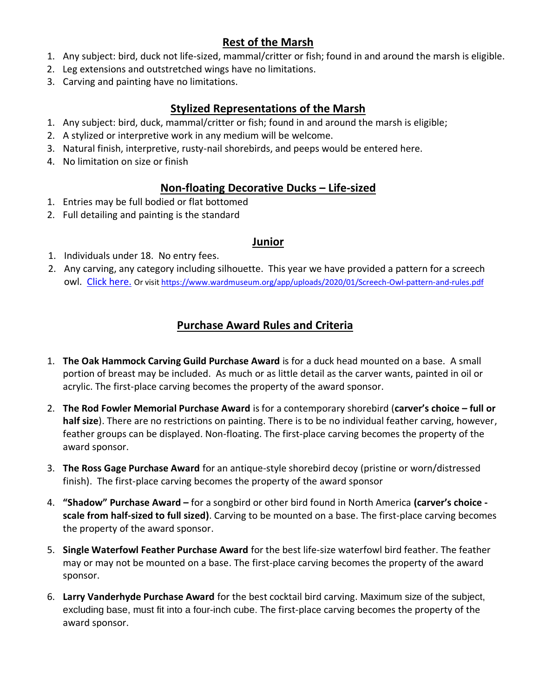# **Rest of the Marsh**

- 1. Any subject: bird, duck not life-sized, mammal/critter or fish; found in and around the marsh is eligible.
- 2. Leg extensions and outstretched wings have no limitations.
- 3. Carving and painting have no limitations.

# **Stylized Representations of the Marsh**

- 1. Any subject: bird, duck, mammal/critter or fish; found in and around the marsh is eligible;
- 2. A stylized or interpretive work in any medium will be welcome.
- 3. Natural finish, interpretive, rusty-nail shorebirds, and peeps would be entered here.
- 4. No limitation on size or finish

# **Non-floating Decorative Ducks – Life-sized**

- 1. Entries may be full bodied or flat bottomed
- 2. Full detailing and painting is the standard

#### **Junior**

- 1. Individuals under 18. No entry fees.
- 2. Any carving, any category including silhouette. This year we have provided a pattern for a screech owl. [Click here.](https://www.wardmuseum.org/app/uploads/2020/01/Screech-Owl-pattern-and-rules.pdf) Or visi[t https://www.wardmuseum.org/app/uploads/2020/01/Screech-Owl-pattern-and-rules.pdf](https://www.wardmuseum.org/app/uploads/2020/01/Screech-Owl-pattern-and-rules.pdf)

# **Purchase Award Rules and Criteria**

- 1. **The Oak Hammock Carving Guild Purchase Award** is for a duck head mounted on a base. A small portion of breast may be included. As much or as little detail as the carver wants, painted in oil or acrylic. The first-place carving becomes the property of the award sponsor.
- 2. **The Rod Fowler Memorial Purchase Award** is for a contemporary shorebird (**carver's choice – full or half size**). There are no restrictions on painting. There is to be no individual feather carving, however, feather groups can be displayed. Non-floating. The first-place carving becomes the property of the award sponsor.
- 3. **The Ross Gage Purchase Award** for an antique-style shorebird decoy (pristine or worn/distressed finish). The first-place carving becomes the property of the award sponsor
- 4. **"Shadow" Purchase Award –** for a songbird or other bird found in North America **(carver's choice scale from half-sized to full sized)**. Carving to be mounted on a base. The first-place carving becomes the property of the award sponsor.
- 5. **Single Waterfowl Feather Purchase Award** for the best life-size waterfowl bird feather. The feather may or may not be mounted on a base. The first-place carving becomes the property of the award sponsor.
- 6. **Larry Vanderhyde Purchase Award** for the best cocktail bird carving. Maximum size of the subject, excluding base, must fit into a four-inch cube. The first-place carving becomes the property of the award sponsor.